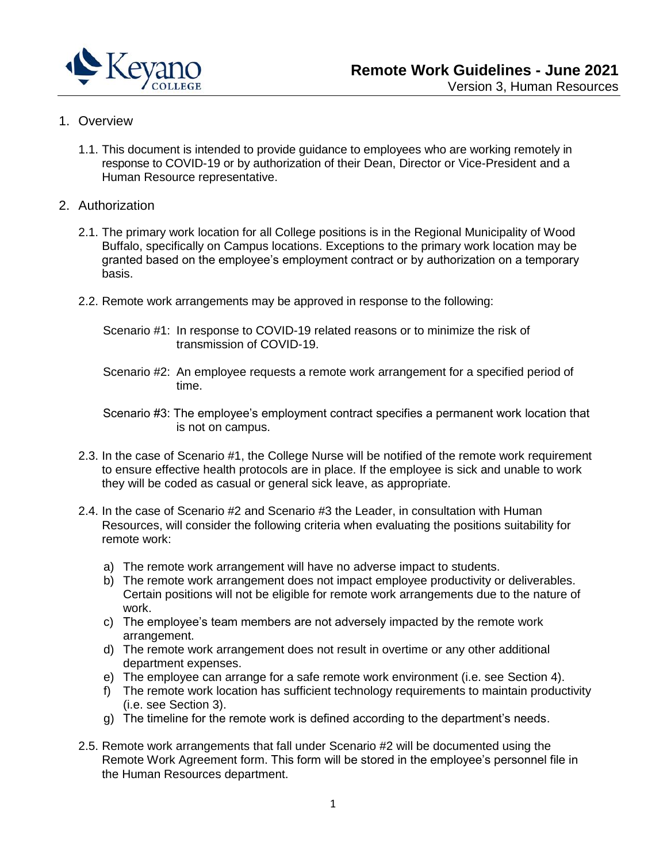

# 1. Overview

- 1.1. This document is intended to provide guidance to employees who are working remotely in response to COVID-19 or by authorization of their Dean, Director or Vice-President and a Human Resource representative.
- 2. Authorization
	- 2.1. The primary work location for all College positions is in the Regional Municipality of Wood Buffalo, specifically on Campus locations. Exceptions to the primary work location may be granted based on the employee's employment contract or by authorization on a temporary basis.
	- 2.2. Remote work arrangements may be approved in response to the following:
		- Scenario #1: In response to COVID-19 related reasons or to minimize the risk of transmission of COVID-19.
		- Scenario #2: An employee requests a remote work arrangement for a specified period of time.
		- Scenario #3: The employee's employment contract specifies a permanent work location that is not on campus.
	- 2.3. In the case of Scenario #1, the College Nurse will be notified of the remote work requirement to ensure effective health protocols are in place. If the employee is sick and unable to work they will be coded as casual or general sick leave, as appropriate.
	- 2.4. In the case of Scenario #2 and Scenario #3 the Leader, in consultation with Human Resources, will consider the following criteria when evaluating the positions suitability for remote work:
		- a) The remote work arrangement will have no adverse impact to students.
		- b) The remote work arrangement does not impact employee productivity or deliverables. Certain positions will not be eligible for remote work arrangements due to the nature of work.
		- c) The employee's team members are not adversely impacted by the remote work arrangement.
		- d) The remote work arrangement does not result in overtime or any other additional department expenses.
		- e) The employee can arrange for a safe remote work environment (i.e. see Section 4).
		- f) The remote work location has sufficient technology requirements to maintain productivity (i.e. see Section 3).
		- g) The timeline for the remote work is defined according to the department's needs.
	- 2.5. Remote work arrangements that fall under Scenario #2 will be documented using the Remote Work Agreement form. This form will be stored in the employee's personnel file in the Human Resources department.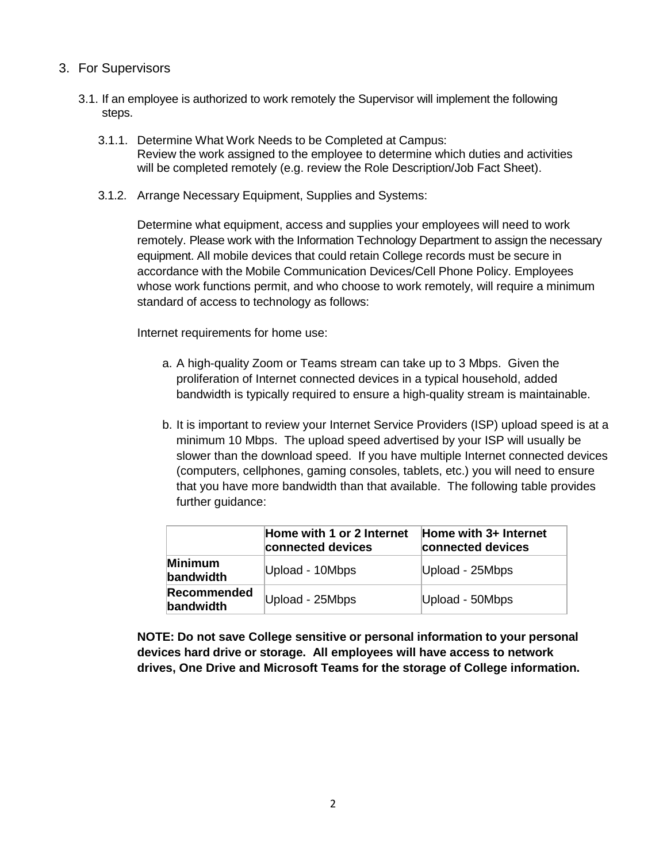# 3. For Supervisors

- 3.1. If an employee is authorized to work remotely the Supervisor will implement the following steps.
	- 3.1.1. Determine What Work Needs to be Completed at Campus: Review the work assigned to the employee to determine which duties and activities will be completed remotely (e.g. review the Role Description/Job Fact Sheet).
	- 3.1.2. Arrange Necessary Equipment, Supplies and Systems:

Determine what equipment, access and supplies your employees will need to work remotely. Please work with the Information Technology Department to assign the necessary equipment. All mobile devices that could retain College records must be secure in accordance with the Mobile Communication Devices/Cell Phone Policy. Employees whose work functions permit, and who choose to work remotely, will require a minimum standard of access to technology as follows:

Internet requirements for home use:

- a. A high-quality Zoom or Teams stream can take up to 3 Mbps. Given the proliferation of Internet connected devices in a typical household, added bandwidth is typically required to ensure a high-quality stream is maintainable.
- b. It is important to review your Internet Service Providers (ISP) upload speed is at a minimum 10 Mbps. The upload speed advertised by your ISP will usually be slower than the download speed. If you have multiple Internet connected devices (computers, cellphones, gaming consoles, tablets, etc.) you will need to ensure that you have more bandwidth than that available. The following table provides further guidance:

|                                 | Home with 1 or 2 Internet<br>connected devices | Home with 3+ Internet<br>connected devices |
|---------------------------------|------------------------------------------------|--------------------------------------------|
| Minimum<br>bandwidth            | Upload - 10Mbps                                | Upload - 25Mbps                            |
| <b>Recommended</b><br>bandwidth | Upload - 25Mbps                                | Upload - 50Mbps                            |

**NOTE: Do not save College sensitive or personal information to your personal devices hard drive or storage. All employees will have access to network drives, One Drive and Microsoft Teams for the storage of College information.**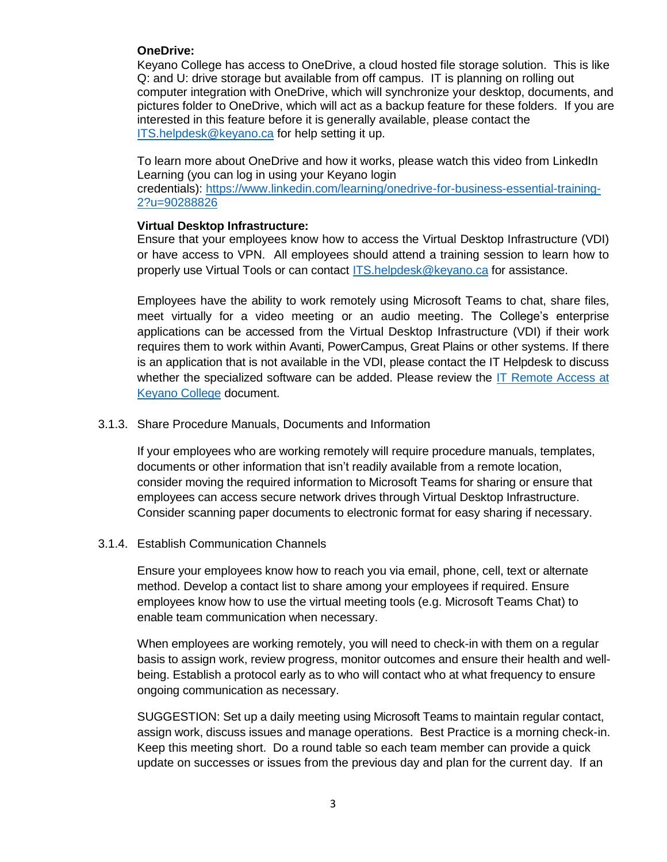# **OneDrive:**

Keyano College has access to OneDrive, a cloud hosted file storage solution. This is like Q: and U: drive storage but available from off campus. IT is planning on rolling out computer integration with OneDrive, which will synchronize your desktop, documents, and pictures folder to OneDrive, which will act as a backup feature for these folders. If you are interested in this feature before it is generally available, please contact the ITS.helpdesk@keyano.ca for help setting it up.

To learn more about OneDrive and how it works, please watch this video from LinkedIn Learning (you can log in using your Keyano login

credentials): https://www.linkedin.com/learning/onedrive-for-business-essential-training-2?u=90288826

#### **Virtual Desktop Infrastructure:**

Ensure that your employees know how to access the Virtual Desktop Infrastructure (VDI) or have access to VPN. All employees should attend a training session to learn how to properly use Virtual Tools or can contact ITS.helpdesk@keyano.ca for assistance.

Employees have the ability to work remotely using Microsoft Teams to chat, share files, meet virtually for a video meeting or an audio meeting. The College's enterprise applications can be accessed from the Virtual Desktop Infrastructure (VDI) if their work requires them to work within Avanti, PowerCampus, Great Plains or other systems. If there is an application that is not available in the VDI, please contact the IT Helpdesk to discuss whether the specialized software can be added. Please review the IT Remote Access at Keyano College document.

# 3.1.3. Share Procedure Manuals, Documents and Information

If your employees who are working remotely will require procedure manuals, templates, documents or other information that isn't readily available from a remote location, consider moving the required information to Microsoft Teams for sharing or ensure that employees can access secure network drives through Virtual Desktop Infrastructure. Consider scanning paper documents to electronic format for easy sharing if necessary.

# 3.1.4. Establish Communication Channels

Ensure your employees know how to reach you via email, phone, cell, text or alternate method. Develop a contact list to share among your employees if required. Ensure employees know how to use the virtual meeting tools (e.g. Microsoft Teams Chat) to enable team communication when necessary.

When employees are working remotely, you will need to check-in with them on a regular basis to assign work, review progress, monitor outcomes and ensure their health and wellbeing. Establish a protocol early as to who will contact who at what frequency to ensure ongoing communication as necessary.

SUGGESTION: Set up a daily meeting using Microsoft Teams to maintain regular contact, assign work, discuss issues and manage operations. Best Practice is a morning check-in. Keep this meeting short. Do a round table so each team member can provide a quick update on successes or issues from the previous day and plan for the current day. If an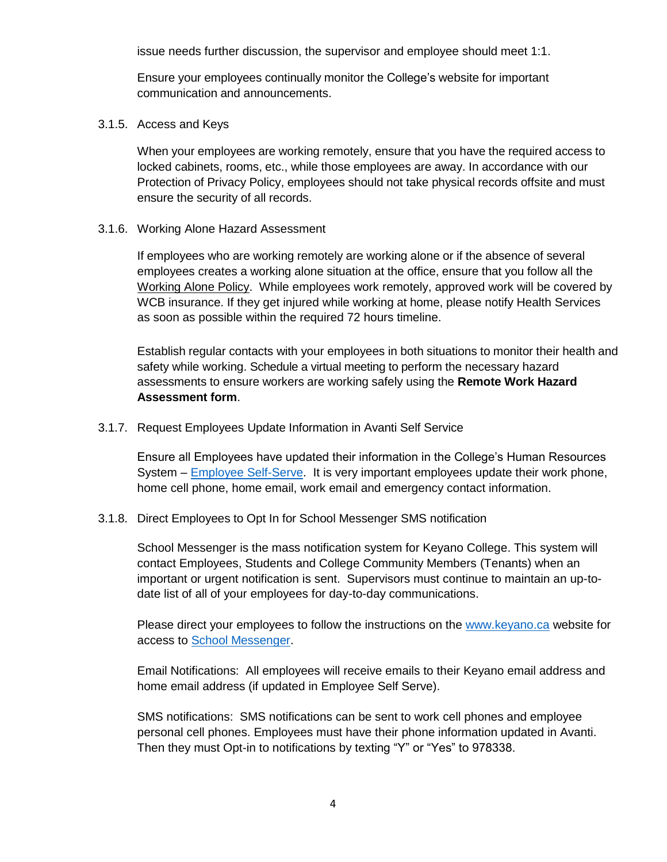issue needs further discussion, the supervisor and employee should meet 1:1.

Ensure your employees continually monitor the College's website for important communication and announcements.

3.1.5. Access and Keys

When your employees are working remotely, ensure that you have the required access to locked cabinets, rooms, etc., while those employees are away. In accordance with our Protection of Privacy Policy, employees should not take physical records offsite and must ensure the security of all records.

3.1.6. Working Alone Hazard Assessment

If employees who are working remotely are working alone or if the absence of several employees creates a working alone situation at the office, ensure that you follow all the Working Alone Policy. While employees work remotely, approved work will be covered by WCB insurance. If they get injured while working at home, please notify Health Services as soon as possible within the required 72 hours timeline.

Establish regular contacts with your employees in both situations to monitor their health and safety while working. Schedule a virtual meeting to perform the necessary hazard assessments to ensure workers are working safely using the **Remote Work Hazard Assessment form**.

3.1.7. Request Employees Update Information in Avanti Self Service

Ensure all Employees have updated their information in the College's Human Resources System – **Employee Self-Serve.** It is very important employees update their work phone, home cell phone, home email, work email and emergency contact information.

3.1.8. Direct Employees to Opt In for School Messenger SMS notification

School Messenger is the mass notification system for Keyano College. This system will contact Employees, Students and College Community Members (Tenants) when an important or urgent notification is sent. Supervisors must continue to maintain an up-todate list of all of your employees for day-to-day communications.

Please direct your employees to follow the instructions on the www.keyano.ca website for access to School Messenger.

Email Notifications: All employees will receive emails to their Keyano email address and home email address (if updated in Employee Self Serve).

SMS notifications: SMS notifications can be sent to work cell phones and employee personal cell phones. Employees must have their phone information updated in Avanti. Then they must Opt-in to notifications by texting "Y" or "Yes" to 978338.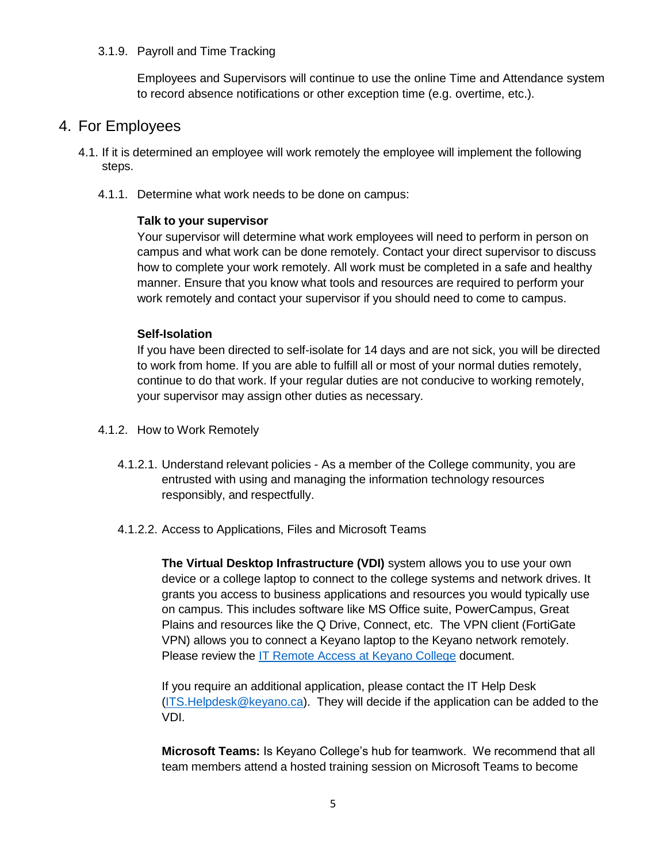#### 3.1.9. Payroll and Time Tracking

Employees and Supervisors will continue to use the online Time and Attendance system to record absence notifications or other exception time (e.g. overtime, etc.).

# 4. For Employees

- 4.1. If it is determined an employee will work remotely the employee will implement the following steps.
	- 4.1.1. Determine what work needs to be done on campus:

# **Talk to your supervisor**

Your supervisor will determine what work employees will need to perform in person on campus and what work can be done remotely. Contact your direct supervisor to discuss how to complete your work remotely. All work must be completed in a safe and healthy manner. Ensure that you know what tools and resources are required to perform your work remotely and contact your supervisor if you should need to come to campus.

# **Self-Isolation**

If you have been directed to self-isolate for 14 days and are not sick, you will be directed to work from home. If you are able to fulfill all or most of your normal duties remotely, continue to do that work. If your regular duties are not conducive to working remotely, your supervisor may assign other duties as necessary.

- 4.1.2. How to Work Remotely
	- 4.1.2.1. Understand relevant policies As a member of the College community, you are entrusted with using and managing the information technology resources responsibly, and respectfully.
	- 4.1.2.2. Access to Applications, Files and Microsoft Teams

**The Virtual Desktop Infrastructure (VDI)** system allows you to use your own device or a college laptop to connect to the college systems and network drives. It grants you access to business applications and resources you would typically use on campus. This includes software like MS Office suite, PowerCampus, Great Plains and resources like the Q Drive, Connect, etc. The VPN client (FortiGate VPN) allows you to connect a Keyano laptop to the Keyano network remotely. Please review the IT Remote Access at Keyano College document.

If you require an additional application, please contact the IT Help Desk (ITS.Helpdesk@keyano.ca). They will decide if the application can be added to the VDI.

**Microsoft Teams:** Is Keyano College's hub for teamwork. We recommend that all team members attend a hosted training session on Microsoft Teams to become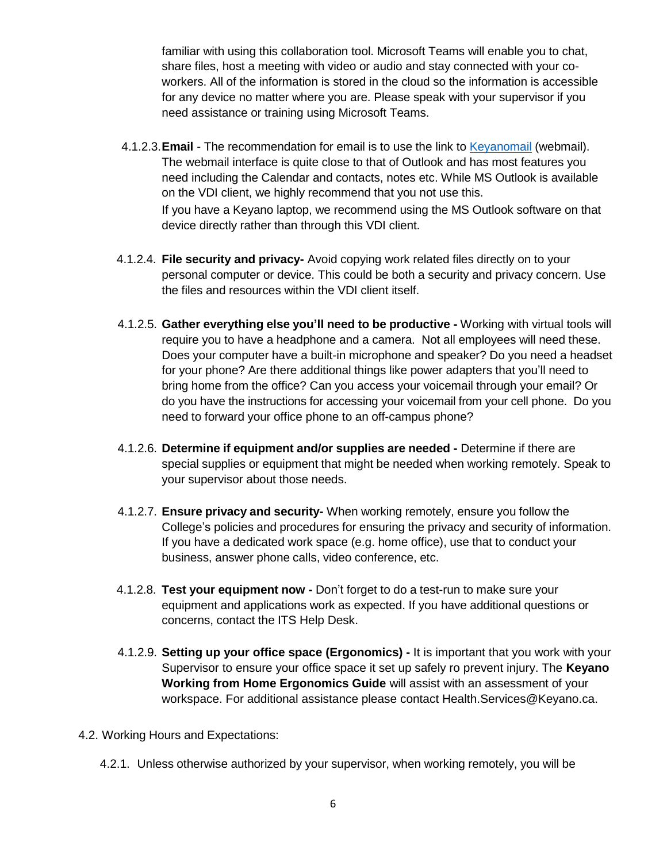familiar with using this collaboration tool. Microsoft Teams will enable you to chat, share files, host a meeting with video or audio and stay connected with your coworkers. All of the information is stored in the cloud so the information is accessible for any device no matter where you are. Please speak with your supervisor if you need assistance or training using Microsoft Teams.

- 4.1.2.3.**Email** The recommendation for email is to use the link to Keyanomail (webmail). The webmail interface is quite close to that of Outlook and has most features you need including the Calendar and contacts, notes etc. While MS Outlook is available on the VDI client, we highly recommend that you not use this. If you have a Keyano laptop, we recommend using the MS Outlook software on that device directly rather than through this VDI client.
- 4.1.2.4. **File security and privacy-** Avoid copying work related files directly on to your personal computer or device. This could be both a security and privacy concern. Use the files and resources within the VDI client itself.
- 4.1.2.5. **Gather everything else you'll need to be productive -** Working with virtual tools will require you to have a headphone and a camera. Not all employees will need these. Does your computer have a built-in microphone and speaker? Do you need a headset for your phone? Are there additional things like power adapters that you'll need to bring home from the office? Can you access your voicemail through your email? Or do you have the instructions for accessing your voicemail from your cell phone. Do you need to forward your office phone to an off-campus phone?
- 4.1.2.6. **Determine if equipment and/or supplies are needed -** Determine if there are special supplies or equipment that might be needed when working remotely. Speak to your supervisor about those needs.
- 4.1.2.7. **Ensure privacy and security-** When working remotely, ensure you follow the College's policies and procedures for ensuring the privacy and security of information. If you have a dedicated work space (e.g. home office), use that to conduct your business, answer phone calls, video conference, etc.
- 4.1.2.8. **Test your equipment now -** Don't forget to do a test-run to make sure your equipment and applications work as expected. If you have additional questions or concerns, contact the ITS Help Desk.
- 4.1.2.9. **Setting up your office space (Ergonomics) -** It is important that you work with your Supervisor to ensure your office space it set up safely ro prevent injury. The **Keyano Working from Home Ergonomics Guide** will assist with an assessment of your workspace. For additional assistance please contact Health.Services@Keyano.ca.
- 4.2. Working Hours and Expectations:
	- 4.2.1. Unless otherwise authorized by your supervisor, when working remotely, you will be